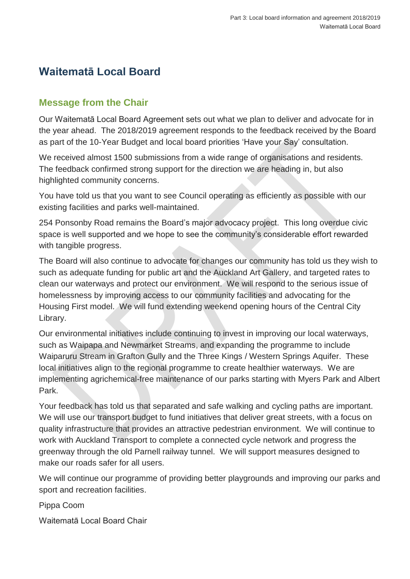# **Waitematā Local Board**

### **Message from the Chair**

Our Waitematā Local Board Agreement sets out what we plan to deliver and advocate for in the year ahead. The 2018/2019 agreement responds to the feedback received by the Board as part of the 10-Year Budget and local board priorities 'Have your Say' consultation.

We received almost 1500 submissions from a wide range of organisations and residents. The feedback confirmed strong support for the direction we are heading in, but also highlighted community concerns.

You have told us that you want to see Council operating as efficiently as possible with our existing facilities and parks well-maintained.

254 Ponsonby Road remains the Board's major advocacy project. This long overdue civic space is well supported and we hope to see the community's considerable effort rewarded with tangible progress.

The Board will also continue to advocate for changes our community has told us they wish to such as adequate funding for public art and the Auckland Art Gallery, and targeted rates to clean our waterways and protect our environment. We will respond to the serious issue of homelessness by improving access to our community facilities and advocating for the Housing First model. We will fund extending weekend opening hours of the Central City Library.

Our environmental initiatives include continuing to invest in improving our local waterways, such as Waipapa and Newmarket Streams, and expanding the programme to include Waiparuru Stream in Grafton Gully and the Three Kings / Western Springs Aquifer. These local initiatives align to the regional programme to create healthier waterways. We are implementing agrichemical-free maintenance of our parks starting with Myers Park and Albert Park.

Your feedback has told us that separated and safe walking and cycling paths are important. We will use our transport budget to fund initiatives that deliver great streets, with a focus on quality infrastructure that provides an attractive pedestrian environment. We will continue to work with Auckland Transport to complete a connected cycle network and progress the greenway through the old Parnell railway tunnel. We will support measures designed to make our roads safer for all users.

We will continue our programme of providing better playgrounds and improving our parks and sport and recreation facilities.

Pippa Coom

Waitematā Local Board Chair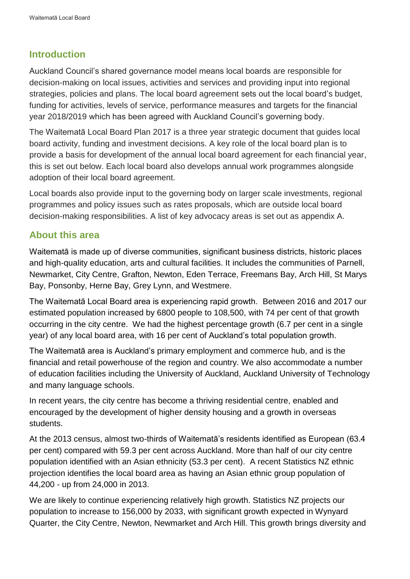### **Introduction**

Auckland Council's shared governance model means local boards are responsible for decision-making on local issues, activities and services and providing input into regional strategies, policies and plans. The local board agreement sets out the local board's budget, funding for activities, levels of service, performance measures and targets for the financial year 2018/2019 which has been agreed with Auckland Council's governing body.

The Waitematā Local Board Plan 2017 is a three year strategic document that guides local board activity, funding and investment decisions. A key role of the local board plan is to provide a basis for development of the annual local board agreement for each financial year, this is set out below. Each local board also develops annual work programmes alongside adoption of their local board agreement.

Local boards also provide input to the governing body on larger scale investments, regional programmes and policy issues such as rates proposals, which are outside local board decision-making responsibilities. A list of key advocacy areas is set out as appendix A.

### **About this area**

Waitematā is made up of diverse communities, significant business districts, historic places and high-quality education, arts and cultural facilities. It includes the communities of Parnell, Newmarket, City Centre, Grafton, Newton, Eden Terrace, Freemans Bay, Arch Hill, St Marys Bay, Ponsonby, Herne Bay, Grey Lynn, and Westmere.

The Waitematā Local Board area is experiencing rapid growth. Between 2016 and 2017 our estimated population increased by 6800 people to 108,500, with 74 per cent of that growth occurring in the city centre. We had the highest percentage growth (6.7 per cent in a single year) of any local board area, with 16 per cent of Auckland's total population growth.

The Waitematā area is Auckland's primary employment and commerce hub, and is the financial and retail powerhouse of the region and country. We also accommodate a number of education facilities including the University of Auckland, Auckland University of Technology and many language schools.

In recent years, the city centre has become a thriving residential centre, enabled and encouraged by the development of higher density housing and a growth in overseas students.

At the 2013 census, almost two-thirds of Waitematā's residents identified as European (63.4 per cent) compared with 59.3 per cent across Auckland. More than half of our city centre population identified with an Asian ethnicity (53.3 per cent). A recent Statistics NZ ethnic projection identifies the local board area as having an Asian ethnic group population of 44,200 - up from 24,000 in 2013.

We are likely to continue experiencing relatively high growth. Statistics NZ projects our population to increase to 156,000 by 2033, with significant growth expected in Wynyard Quarter, the City Centre, Newton, Newmarket and Arch Hill. This growth brings diversity and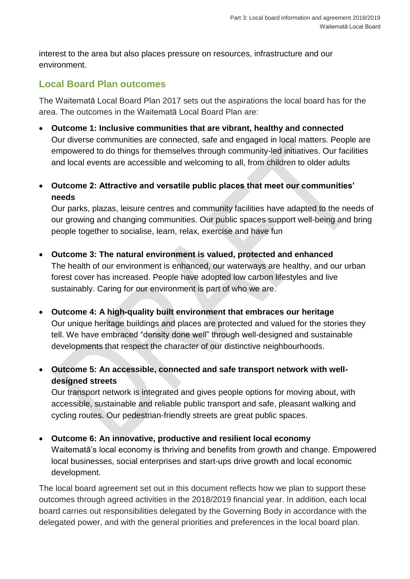interest to the area but also places pressure on resources, infrastructure and our environment.

### **Local Board Plan outcomes**

The Waitematā Local Board Plan 2017 sets out the aspirations the local board has for the area. The outcomes in the Waitematā Local Board Plan are:

- **Outcome 1: Inclusive communities that are vibrant, healthy and connected** Our diverse communities are connected, safe and engaged in local matters. People are empowered to do things for themselves through community-led initiatives. Our facilities and local events are accessible and welcoming to all, from children to older adults
- **Outcome 2: Attractive and versatile public places that meet our communities' needs**

Our parks, plazas, leisure centres and community facilities have adapted to the needs of our growing and changing communities. Our public spaces support well-being and bring people together to socialise, learn, relax, exercise and have fun

- **Outcome 3: The natural environment is valued, protected and enhanced** The health of our environment is enhanced, our waterways are healthy, and our urban forest cover has increased. People have adopted low carbon lifestyles and live sustainably. Caring for our environment is part of who we are.
- **Outcome 4: A high-quality built environment that embraces our heritage** Our unique heritage buildings and places are protected and valued for the stories they tell. We have embraced "density done well" through well-designed and sustainable developments that respect the character of our distinctive neighbourhoods.
- **Outcome 5: An accessible, connected and safe transport network with welldesigned streets**

Our transport network is integrated and gives people options for moving about, with accessible, sustainable and reliable public transport and safe, pleasant walking and cycling routes. Our pedestrian-friendly streets are great public spaces.

• **Outcome 6: An innovative, productive and resilient local economy**  Waitematā's local economy is thriving and benefits from growth and change. Empowered

local businesses, social enterprises and start-ups drive growth and local economic development.

The local board agreement set out in this document reflects how we plan to support these outcomes through agreed activities in the 2018/2019 financial year. In addition, each local board carries out responsibilities delegated by the Governing Body in accordance with the delegated power, and with the general priorities and preferences in the local board plan.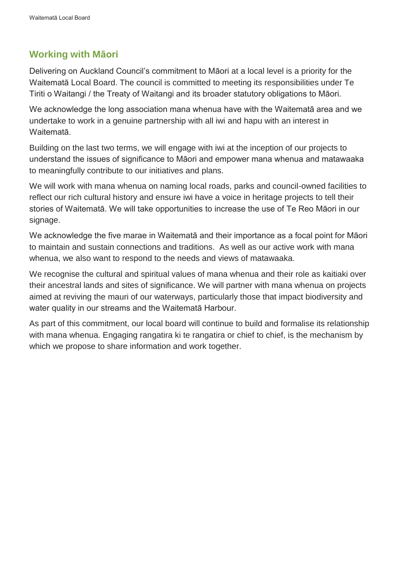### **Working with Māori**

Delivering on Auckland Council's commitment to Māori at a local level is a priority for the Waitematā Local Board. The council is committed to meeting its responsibilities under Te Tiriti o Waitangi / the Treaty of Waitangi and its broader statutory obligations to Māori.

We acknowledge the long association mana whenua have with the Waitematā area and we undertake to work in a genuine partnership with all iwi and hapu with an interest in Waitematā.

Building on the last two terms, we will engage with iwi at the inception of our projects to understand the issues of significance to Māori and empower mana whenua and matawaaka to meaningfully contribute to our initiatives and plans.

We will work with mana whenua on naming local roads, parks and council-owned facilities to reflect our rich cultural history and ensure iwi have a voice in heritage projects to tell their stories of Waitematā. We will take opportunities to increase the use of Te Reo Māori in our signage.

We acknowledge the five marae in Waitematā and their importance as a focal point for Māori to maintain and sustain connections and traditions. As well as our active work with mana whenua, we also want to respond to the needs and views of matawaaka.

We recognise the cultural and spiritual values of mana whenua and their role as kaitiaki over their ancestral lands and sites of significance. We will partner with mana whenua on projects aimed at reviving the mauri of our waterways, particularly those that impact biodiversity and water quality in our streams and the Waitematā Harbour.

As part of this commitment, our local board will continue to build and formalise its relationship with mana whenua. Engaging rangatira ki te rangatira or chief to chief, is the mechanism by which we propose to share information and work together.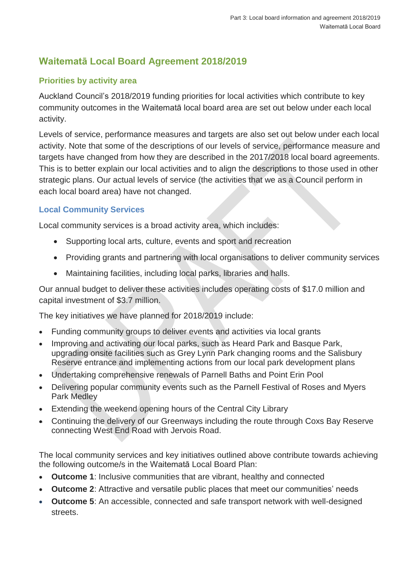## **Waitematā Local Board Agreement 2018/2019**

### **Priorities by activity area**

Auckland Council's 2018/2019 funding priorities for local activities which contribute to key community outcomes in the Waitematā local board area are set out below under each local activity.

Levels of service, performance measures and targets are also set out below under each local activity. Note that some of the descriptions of our levels of service, performance measure and targets have changed from how they are described in the 2017/2018 local board agreements. This is to better explain our local activities and to align the descriptions to those used in other strategic plans. Our actual levels of service (the activities that we as a Council perform in each local board area) have not changed.

### **Local Community Services**

Local community services is a broad activity area, which includes:

- Supporting local arts, culture, events and sport and recreation
- Providing grants and partnering with local organisations to deliver community services
- Maintaining facilities, including local parks, libraries and halls.

Our annual budget to deliver these activities includes operating costs of \$17.0 million and capital investment of \$3.7 million.

The key initiatives we have planned for 2018/2019 include:

- Funding community groups to deliver events and activities via local grants
- Improving and activating our local parks, such as Heard Park and Basque Park, upgrading onsite facilities such as Grey Lynn Park changing rooms and the Salisbury Reserve entrance and implementing actions from our local park development plans
- Undertaking comprehensive renewals of Parnell Baths and Point Erin Pool
- Delivering popular community events such as the Parnell Festival of Roses and Myers Park Medley
- Extending the weekend opening hours of the Central City Library
- Continuing the delivery of our Greenways including the route through Coxs Bay Reserve connecting West End Road with Jervois Road.

The local community services and key initiatives outlined above contribute towards achieving the following outcome/s in the Waitematā Local Board Plan:

- **Outcome 1**: Inclusive communities that are vibrant, healthy and connected
- **Outcome 2**: Attractive and versatile public places that meet our communities' needs
- **Outcome 5**: An accessible, connected and safe transport network with well-designed streets.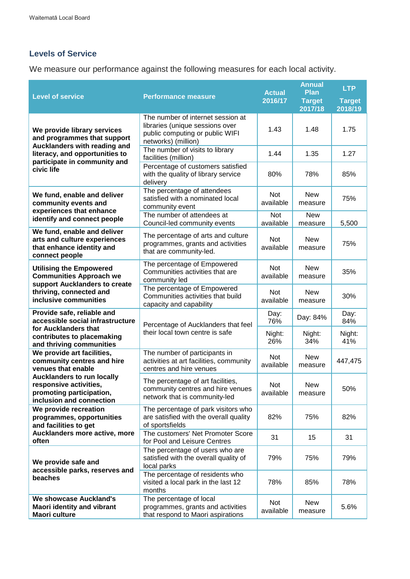### **Levels of Service**

We measure our performance against the following measures for each local activity.

| <b>Level of service</b>                                                                                                                               | <b>Performance measure</b>                                                                                                     | <b>Actual</b><br>2016/17 | <b>Annual</b><br>Plan<br><b>Target</b> | <b>LTP</b><br><b>Target</b> |
|-------------------------------------------------------------------------------------------------------------------------------------------------------|--------------------------------------------------------------------------------------------------------------------------------|--------------------------|----------------------------------------|-----------------------------|
|                                                                                                                                                       |                                                                                                                                |                          | 2017/18                                | 2018/19                     |
| We provide library services<br>and programmes that support                                                                                            | The number of internet session at<br>libraries (unique sessions over<br>public computing or public WIFI<br>networks) (million) | 1.43                     | 1.48                                   | 1.75                        |
| Aucklanders with reading and<br>literacy, and opportunities to<br>participate in community and                                                        | The number of visits to library<br>facilities (million)                                                                        | 1.44                     | 1.35                                   | 1.27                        |
| civic life                                                                                                                                            | Percentage of customers satisfied<br>with the quality of library service<br>delivery                                           | 80%                      | 78%                                    | 85%                         |
| We fund, enable and deliver<br>community events and<br>experiences that enhance                                                                       | The percentage of attendees<br>satisfied with a nominated local<br>community event                                             | Not<br>available         | <b>New</b><br>measure                  | 75%                         |
| identify and connect people                                                                                                                           | The number of attendees at<br>Council-led community events                                                                     | Not<br>available         | <b>New</b><br>measure                  | 5,500                       |
| We fund, enable and deliver<br>arts and culture experiences<br>that enhance identity and<br>connect people                                            | The percentage of arts and culture<br>programmes, grants and activities<br>that are community-led.                             | <b>Not</b><br>available  | <b>New</b><br>measure                  | 75%                         |
| <b>Utilising the Empowered</b><br><b>Communities Approach we</b><br>support Aucklanders to create<br>thriving, connected and<br>inclusive communities | The percentage of Empowered<br>Communities activities that are<br>community led                                                | Not<br>available         | <b>New</b><br>measure                  | 35%                         |
|                                                                                                                                                       | The percentage of Empowered<br>Communities activities that build<br>capacity and capability                                    | Not<br>available         | <b>New</b><br>measure                  | 30%                         |
| Provide safe, reliable and<br>accessible social infrastructure                                                                                        | Percentage of Aucklanders that feel                                                                                            | Day:<br>76%              | Day: 84%                               | Day:<br>84%                 |
| for Aucklanders that<br>contributes to placemaking<br>and thriving communities                                                                        | their local town centre is safe                                                                                                | Night:<br>26%            | Night:<br>34%                          | Night:<br>41%               |
| We provide art facilities,<br>community centres and hire<br>venues that enable                                                                        | The number of participants in<br>activities at art facilities, community<br>centres and hire venues                            | <b>Not</b><br>available  | <b>New</b><br>measure                  | 447,475                     |
| <b>Aucklanders to run locally</b><br>responsive activities,<br>promoting participation,<br>inclusion and connection                                   | The percentage of art facilities,<br>community centres and hire venues<br>network that is community-led                        | Not<br>available         | <b>New</b><br>measure                  | 50%                         |
| We provide recreation<br>programmes, opportunities<br>and facilities to get                                                                           | The percentage of park visitors who<br>are satisfied with the overall quality<br>of sportsfields                               | 82%                      | 75%                                    | 82%                         |
| Aucklanders more active, more<br>often                                                                                                                | The customers' Net Promoter Score<br>for Pool and Leisure Centres                                                              | 31                       | 15                                     | 31                          |
| We provide safe and<br>accessible parks, reserves and<br>beaches                                                                                      | The percentage of users who are<br>satisfied with the overall quality of<br>local parks                                        | 79%                      | 75%                                    | 79%                         |
|                                                                                                                                                       | The percentage of residents who<br>visited a local park in the last 12<br>months                                               | 78%                      | 85%                                    | 78%                         |
| We showcase Auckland's<br><b>Maori identity and vibrant</b><br>Maori culture                                                                          | The percentage of local<br>programmes, grants and activities<br>that respond to Maori aspirations                              | Not<br>available         | New<br>measure                         | 5.6%                        |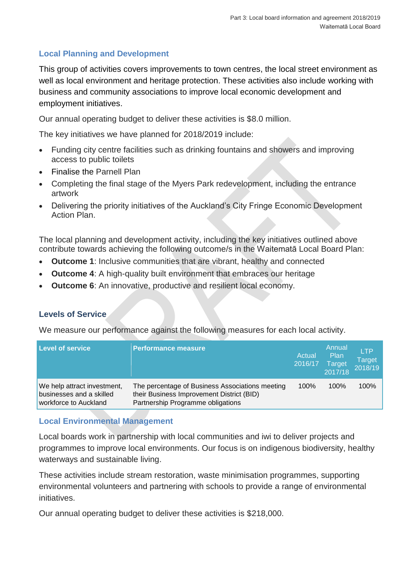### **Local Planning and Development**

This group of activities covers improvements to town centres, the local street environment as well as local environment and heritage protection. These activities also include working with business and community associations to improve local economic development and employment initiatives.

Our annual operating budget to deliver these activities is \$8.0 million.

The key initiatives we have planned for 2018/2019 include:

- Funding city centre facilities such as drinking fountains and showers and improving access to public toilets
- Finalise the Parnell Plan
- Completing the final stage of the Myers Park redevelopment, including the entrance artwork
- Delivering the priority initiatives of the Auckland's City Fringe Economic Development Action Plan.

The local planning and development activity, including the key initiatives outlined above contribute towards achieving the following outcome/s in the Waitematā Local Board Plan:

- **Outcome 1**: Inclusive communities that are vibrant, healthy and connected
- **Outcome 4**: A high-quality built environment that embraces our heritage
- **Outcome 6**: An innovative, productive and resilient local economy.

#### **Levels of Service**

We measure our performance against the following measures for each local activity.

| <b>Level of service</b>                                                          | <b>Performance measure</b>                                                                                                        | Actual<br>2016/17 | Annual<br>Plan<br><b>Target</b><br>2017/18 | <b>LTP</b><br><b>Target</b><br>2018/19 |
|----------------------------------------------------------------------------------|-----------------------------------------------------------------------------------------------------------------------------------|-------------------|--------------------------------------------|----------------------------------------|
| We help attract investment,<br>businesses and a skilled<br>workforce to Auckland | The percentage of Business Associations meeting<br>their Business Improvement District (BID)<br>Partnership Programme obligations | 100%              | 100%                                       | 100%                                   |

#### **Local Environmental Management**

Local boards work in partnership with local communities and iwi to deliver projects and programmes to improve local environments. Our focus is on indigenous biodiversity, healthy waterways and sustainable living.

These activities include stream restoration, waste minimisation programmes, supporting environmental volunteers and partnering with schools to provide a range of environmental initiatives.

Our annual operating budget to deliver these activities is \$218,000.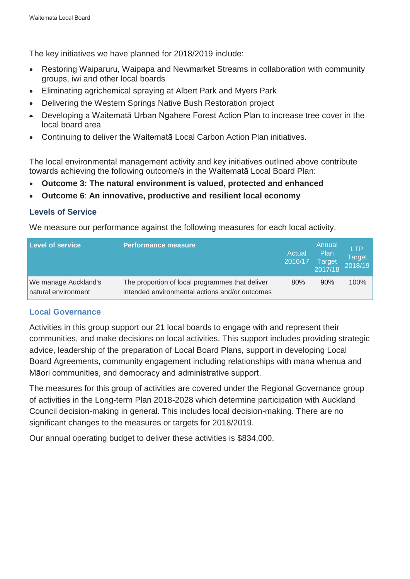The key initiatives we have planned for 2018/2019 include:

- Restoring Waiparuru, Waipapa and Newmarket Streams in collaboration with community groups, iwi and other local boards
- Eliminating agrichemical spraying at Albert Park and Myers Park
- Delivering the Western Springs Native Bush Restoration project
- Developing a Waitematā Urban Ngahere Forest Action Plan to increase tree cover in the local board area
- Continuing to deliver the Waitematā Local Carbon Action Plan initiatives.

The local environmental management activity and key initiatives outlined above contribute towards achieving the following outcome/s in the Waitematā Local Board Plan:

- **Outcome 3: The natural environment is valued, protected and enhanced**
- **Outcome 6**: **An innovative, productive and resilient local economy**

#### **Levels of Service**

We measure our performance against the following measures for each local activity.

| <b>Level of service</b>                     | <b>Performance measure</b>                                                                        | Actual<br>2016/17 | Annual<br><b>Plan</b><br><b>Target</b><br>2017/18 | <b>LTP</b><br>Target<br>2018/19 |
|---------------------------------------------|---------------------------------------------------------------------------------------------------|-------------------|---------------------------------------------------|---------------------------------|
| We manage Auckland's<br>natural environment | The proportion of local programmes that deliver<br>intended environmental actions and/or outcomes | 80%               | 90%                                               | 100%                            |

#### **Local Governance**

Activities in this group support our 21 local boards to engage with and represent their communities, and make decisions on local activities. This support includes providing strategic advice, leadership of the preparation of Local Board Plans, support in developing Local Board Agreements, community engagement including relationships with mana whenua and Māori communities, and democracy and administrative support.

The measures for this group of activities are covered under the Regional Governance group of activities in the Long-term Plan 2018-2028 which determine participation with Auckland Council decision-making in general. This includes local decision-making. There are no significant changes to the measures or targets for 2018/2019.

Our annual operating budget to deliver these activities is \$834,000.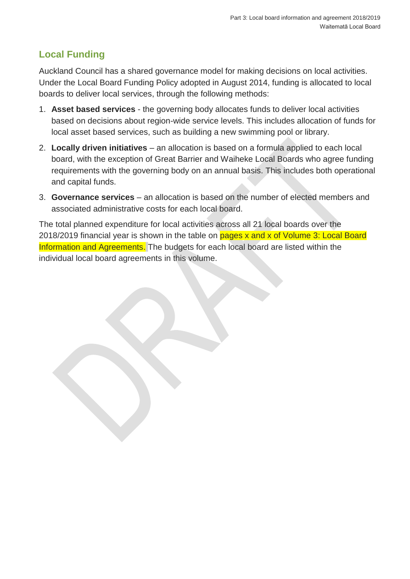## **Local Funding**

Auckland Council has a shared governance model for making decisions on local activities. Under the Local Board Funding Policy adopted in August 2014, funding is allocated to local boards to deliver local services, through the following methods:

- 1. **Asset based services** the governing body allocates funds to deliver local activities based on decisions about region-wide service levels. This includes allocation of funds for local asset based services, such as building a new swimming pool or library.
- 2. **Locally driven initiatives** an allocation is based on a formula applied to each local board, with the exception of Great Barrier and Waiheke Local Boards who agree funding requirements with the governing body on an annual basis. This includes both operational and capital funds.
- 3. **Governance services**  an allocation is based on the number of elected members and associated administrative costs for each local board.

The total planned expenditure for local activities across all 21 local boards over the 2018/2019 financial year is shown in the table on pages x and x of Volume 3: Local Board Information and Agreements. The budgets for each local board are listed within the individual local board agreements in this volume.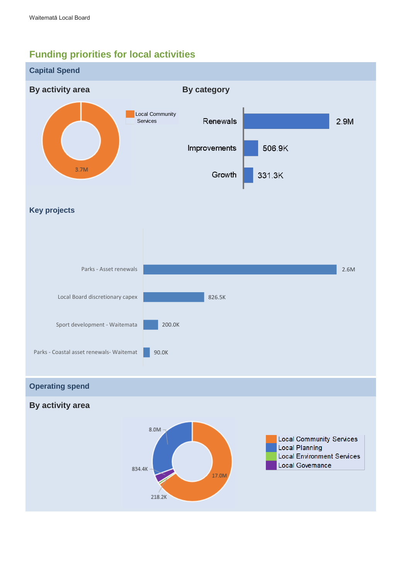## **Funding priorities for local activities**

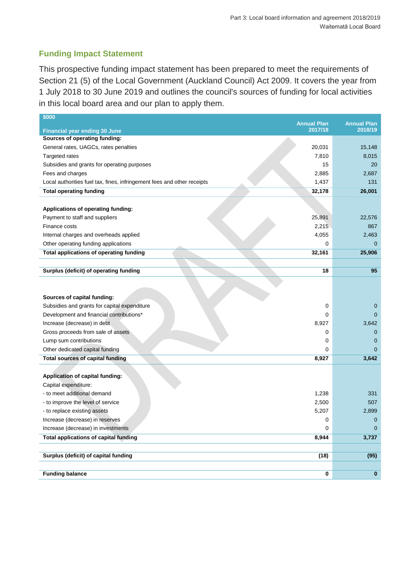#### **Funding Impact Statement**

This prospective funding impact statement has been prepared to meet the requirements of Section 21 (5) of the Local Government (Auckland Council) Act 2009. It covers the year from 1 July 2018 to 30 June 2019 and outlines the council's sources of funding for local activities in this local board area and our plan to apply them.

| \$000                                                                   |                               |                               |
|-------------------------------------------------------------------------|-------------------------------|-------------------------------|
|                                                                         | <b>Annual Plan</b><br>2017/18 | <b>Annual Plan</b><br>2018/19 |
| <b>Financial year ending 30 June</b><br>Sources of operating funding:   |                               |                               |
| General rates, UAGCs, rates penalties                                   | 20,031                        | 15,148                        |
| Targeted rates                                                          | 7,810                         | 8,015                         |
| Subsidies and grants for operating purposes                             | 15                            | 20                            |
| Fees and charges                                                        | 2,885                         | 2,687                         |
| Local authorities fuel tax, fines, infringement fees and other receipts | 1,437                         | 131                           |
| <b>Total operating funding</b>                                          | 32,178                        | 26,001                        |
|                                                                         |                               |                               |
| Applications of operating funding:                                      |                               |                               |
| Payment to staff and suppliers                                          | 25,891                        | 22,576                        |
| Finance costs                                                           | 2,215                         | 867                           |
| Internal charges and overheads applied                                  | 4,055                         | 2,463                         |
| Other operating funding applications                                    | 0                             | 0                             |
| Total applications of operating funding                                 | 32,161                        | 25,906                        |
|                                                                         |                               |                               |
| Surplus (deficit) of operating funding                                  | 18                            | 95                            |
|                                                                         |                               |                               |
|                                                                         |                               |                               |
| Sources of capital funding:                                             |                               |                               |
| Subsidies and grants for capital expenditure                            | 0                             | $\mathbf{0}$                  |
| Development and financial contributions*                                | 0                             | $\mathbf{0}$                  |
| Increase (decrease) in debt                                             | 8,927                         | 3,642                         |
| Gross proceeds from sale of assets                                      | 0                             | $\mathbf{0}$                  |
| Lump sum contributions                                                  | 0                             | $\mathbf 0$                   |
| Other dedicated capital funding                                         | 0                             | $\mathbf{0}$                  |
| <b>Total sources of capital funding</b>                                 | 8,927                         | 3,642                         |
|                                                                         |                               |                               |
| Application of capital funding:                                         |                               |                               |
| Capital expenditure:                                                    |                               |                               |
| - to meet additional demand                                             | 1,238                         | 331                           |
| - to improve the level of service                                       | 2,500                         | 507                           |
| - to replace existing assets                                            | 5,207                         | 2,899                         |
| Increase (decrease) in reserves                                         | 0                             | $\mathbf 0$                   |
| Increase (decrease) in investments                                      | 0                             | $\mathbf{0}$                  |
| <b>Total applications of capital funding</b>                            | 8,944                         | 3,737                         |
|                                                                         |                               |                               |
| Surplus (deficit) of capital funding                                    | (18)                          | (95)                          |
|                                                                         |                               |                               |
| <b>Funding balance</b>                                                  | $\mathbf 0$                   | $\bf{0}$                      |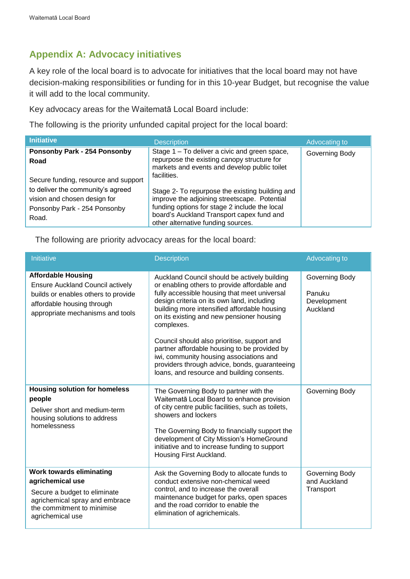## **Appendix A: Advocacy initiatives**

A key role of the local board is to advocate for initiatives that the local board may not have decision-making responsibilities or funding for in this 10-year Budget, but recognise the value it will add to the local community.

Key advocacy areas for the Waitematā Local Board include:

The following is the priority unfunded capital project for the local board:

| <b>Initiative</b>                                                                                                                                  | <b>Description</b>                                                                                                                                                                                                                  | Advocating to  |
|----------------------------------------------------------------------------------------------------------------------------------------------------|-------------------------------------------------------------------------------------------------------------------------------------------------------------------------------------------------------------------------------------|----------------|
| <b>Ponsonby Park - 254 Ponsonby</b><br>Road                                                                                                        | Stage 1 - To deliver a civic and green space,<br>repurpose the existing canopy structure for<br>markets and events and develop public toilet<br>facilities.                                                                         | Governing Body |
| Secure funding, resource and support<br>to deliver the community's agreed<br>vision and chosen design for<br>Ponsonby Park - 254 Ponsonby<br>Road. | Stage 2- To repurpose the existing building and<br>improve the adjoining streetscape. Potential<br>funding options for stage 2 include the local<br>board's Auckland Transport capex fund and<br>other alternative funding sources. |                |

The following are priority advocacy areas for the local board:

| Initiative                                                                                                                                                                    | <b>Description</b>                                                                                                                                                                                                                                                                                                                                                                                                                                                                                                                             | Advocating to                                       |
|-------------------------------------------------------------------------------------------------------------------------------------------------------------------------------|------------------------------------------------------------------------------------------------------------------------------------------------------------------------------------------------------------------------------------------------------------------------------------------------------------------------------------------------------------------------------------------------------------------------------------------------------------------------------------------------------------------------------------------------|-----------------------------------------------------|
| <b>Affordable Housing</b><br><b>Ensure Auckland Council actively</b><br>builds or enables others to provide<br>affordable housing through<br>appropriate mechanisms and tools | Auckland Council should be actively building<br>or enabling others to provide affordable and<br>fully accessible housing that meet universal<br>design criteria on its own land, including<br>building more intensified affordable housing<br>on its existing and new pensioner housing<br>complexes.<br>Council should also prioritise, support and<br>partner affordable housing to be provided by<br>iwi, community housing associations and<br>providers through advice, bonds, guaranteeing<br>loans, and resource and building consents. | Governing Body<br>Panuku<br>Development<br>Auckland |
| <b>Housing solution for homeless</b><br>people<br>Deliver short and medium-term<br>housing solutions to address<br>homelessness                                               | The Governing Body to partner with the<br>Waitematā Local Board to enhance provision<br>of city centre public facilities, such as toilets,<br>showers and lockers<br>The Governing Body to financially support the<br>development of City Mission's HomeGround<br>initiative and to increase funding to support<br>Housing First Auckland.                                                                                                                                                                                                     | Governing Body                                      |
| <b>Work towards eliminating</b><br>agrichemical use<br>Secure a budget to eliminate<br>agrichemical spray and embrace<br>the commitment to minimise<br>agrichemical use       | Ask the Governing Body to allocate funds to<br>conduct extensive non-chemical weed<br>control, and to increase the overall<br>maintenance budget for parks, open spaces<br>and the road corridor to enable the<br>elimination of agrichemicals.                                                                                                                                                                                                                                                                                                | Governing Body<br>and Auckland<br>Transport         |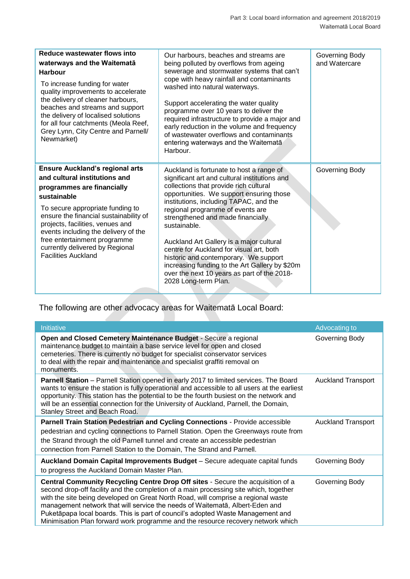| Reduce wastewater flows into<br>waterways and the Waitemata<br><b>Harbour</b><br>To increase funding for water<br>quality improvements to accelerate<br>the delivery of cleaner harbours,<br>beaches and streams and support<br>the delivery of localised solutions<br>for all four catchments (Meola Reef,<br>Grey Lynn, City Centre and Parnell/<br>Newmarket)                | Our harbours, beaches and streams are<br>being polluted by overflows from ageing<br>sewerage and stormwater systems that can't<br>cope with heavy rainfall and contaminants<br>washed into natural waterways.<br>Support accelerating the water quality<br>programme over 10 years to deliver the<br>required infrastructure to provide a major and<br>early reduction in the volume and frequency<br>of wastewater overflows and contaminants<br>entering waterways and the Waitemata<br>Harbour.                                                                           | Governing Body<br>and Watercare |
|---------------------------------------------------------------------------------------------------------------------------------------------------------------------------------------------------------------------------------------------------------------------------------------------------------------------------------------------------------------------------------|------------------------------------------------------------------------------------------------------------------------------------------------------------------------------------------------------------------------------------------------------------------------------------------------------------------------------------------------------------------------------------------------------------------------------------------------------------------------------------------------------------------------------------------------------------------------------|---------------------------------|
| <b>Ensure Auckland's regional arts</b><br>and cultural institutions and<br>programmes are financially<br>sustainable<br>To secure appropriate funding to<br>ensure the financial sustainability of<br>projects, facilities, venues and<br>events including the delivery of the<br>free entertainment programme<br>currently delivered by Regional<br><b>Facilities Auckland</b> | Auckland is fortunate to host a range of<br>significant art and cultural institutions and<br>collections that provide rich cultural<br>opportunities. We support ensuring those<br>institutions, including TAPAC, and the<br>regional programme of events are<br>strengthened and made financially<br>sustainable.<br>Auckland Art Gallery is a major cultural<br>centre for Auckland for visual art, both<br>historic and contemporary. We support<br>increasing funding to the Art Gallery by \$20m<br>over the next 10 years as part of the 2018-<br>2028 Long-term Plan. | Governing Body                  |

## The following are other advocacy areas for Waitematā Local Board:

| <b>Initiative</b>                                                                                                                                                                                                                                                                                                                                                                                                                                                                                                    | Advocating to             |
|----------------------------------------------------------------------------------------------------------------------------------------------------------------------------------------------------------------------------------------------------------------------------------------------------------------------------------------------------------------------------------------------------------------------------------------------------------------------------------------------------------------------|---------------------------|
| Open and Closed Cemetery Maintenance Budget - Secure a regional<br>maintenance budget to maintain a base service level for open and closed<br>cemeteries. There is currently no budget for specialist conservator services<br>to deal with the repair and maintenance and specialist graffiti removal on<br>monuments.                                                                                                                                                                                               | Governing Body            |
| Parnell Station - Parnell Station opened in early 2017 to limited services. The Board<br>wants to ensure the station is fully operational and accessible to all users at the earliest<br>opportunity. This station has the potential to be the fourth busiest on the network and<br>will be an essential connection for the University of Auckland, Parnell, the Domain,<br>Stanley Street and Beach Road.                                                                                                           | <b>Auckland Transport</b> |
| Parnell Train Station Pedestrian and Cycling Connections - Provide accessible<br>pedestrian and cycling connections to Parnell Station. Open the Greenways route from<br>the Strand through the old Parnell tunnel and create an accessible pedestrian<br>connection from Parnell Station to the Domain, The Strand and Parnell.                                                                                                                                                                                     | <b>Auckland Transport</b> |
| Auckland Domain Capital Improvements Budget - Secure adequate capital funds<br>to progress the Auckland Domain Master Plan.                                                                                                                                                                                                                                                                                                                                                                                          | Governing Body            |
| Central Community Recycling Centre Drop Off sites - Secure the acquisition of a<br>second drop-off facility and the completion of a main processing site which, together<br>with the site being developed on Great North Road, will comprise a regional waste<br>management network that will service the needs of Waitematā, Albert-Eden and<br>Puketāpapa local boards. This is part of council's adopted Waste Management and<br>Minimisation Plan forward work programme and the resource recovery network which | Governing Body            |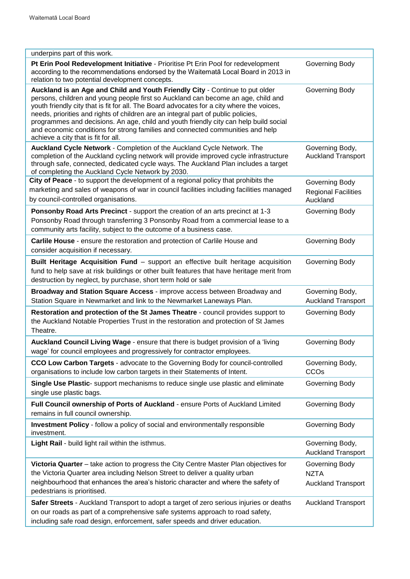| underpins part of this work.                                                                                                                                                                                                                                                                                                                                                                                                                                                                                                                                          |                                                            |
|-----------------------------------------------------------------------------------------------------------------------------------------------------------------------------------------------------------------------------------------------------------------------------------------------------------------------------------------------------------------------------------------------------------------------------------------------------------------------------------------------------------------------------------------------------------------------|------------------------------------------------------------|
| Pt Erin Pool Redevelopment Initiative - Prioritise Pt Erin Pool for redevelopment<br>according to the recommendations endorsed by the Waitemata Local Board in 2013 in<br>relation to two potential development concepts.                                                                                                                                                                                                                                                                                                                                             | Governing Body                                             |
| Auckland is an Age and Child and Youth Friendly City - Continue to put older<br>persons, children and young people first so Auckland can become an age, child and<br>youth friendly city that is fit for all. The Board advocates for a city where the voices,<br>needs, priorities and rights of children are an integral part of public policies,<br>programmes and decisions. An age, child and youth friendly city can help build social<br>and economic conditions for strong families and connected communities and help<br>achieve a city that is fit for all. | Governing Body                                             |
| Auckland Cycle Network - Completion of the Auckland Cycle Network. The<br>completion of the Auckland cycling network will provide improved cycle infrastructure<br>through safe, connected, dedicated cycle ways. The Auckland Plan includes a target<br>of completing the Auckland Cycle Network by 2030.                                                                                                                                                                                                                                                            | Governing Body,<br><b>Auckland Transport</b>               |
| City of Peace - to support the development of a regional policy that prohibits the<br>marketing and sales of weapons of war in council facilities including facilities managed<br>by council-controlled organisations.                                                                                                                                                                                                                                                                                                                                                | Governing Body<br><b>Regional Facilities</b><br>Auckland   |
| Ponsonby Road Arts Precinct - support the creation of an arts precinct at 1-3<br>Ponsonby Road through transferring 3 Ponsonby Road from a commercial lease to a<br>community arts facility, subject to the outcome of a business case.                                                                                                                                                                                                                                                                                                                               | Governing Body                                             |
| Carlile House - ensure the restoration and protection of Carlile House and<br>consider acquisition if necessary.                                                                                                                                                                                                                                                                                                                                                                                                                                                      | Governing Body                                             |
| Built Heritage Acquisition Fund - support an effective built heritage acquisition<br>fund to help save at risk buildings or other built features that have heritage merit from<br>destruction by neglect, by purchase, short term hold or sale                                                                                                                                                                                                                                                                                                                        | Governing Body                                             |
|                                                                                                                                                                                                                                                                                                                                                                                                                                                                                                                                                                       |                                                            |
| Broadway and Station Square Access - improve access between Broadway and<br>Station Square in Newmarket and link to the Newmarket Laneways Plan.                                                                                                                                                                                                                                                                                                                                                                                                                      | Governing Body,<br><b>Auckland Transport</b>               |
| Restoration and protection of the St James Theatre - council provides support to<br>the Auckland Notable Properties Trust in the restoration and protection of St James<br>Theatre.                                                                                                                                                                                                                                                                                                                                                                                   | Governing Body                                             |
| Auckland Council Living Wage - ensure that there is budget provision of a 'living<br>wage' for council employees and progressively for contractor employees.                                                                                                                                                                                                                                                                                                                                                                                                          | Governing Body                                             |
| CCO Low Carbon Targets - advocate to the Governing Body for council-controlled<br>organisations to include low carbon targets in their Statements of Intent.                                                                                                                                                                                                                                                                                                                                                                                                          | Governing Body,<br>CCO <sub>s</sub>                        |
| Single Use Plastic- support mechanisms to reduce single use plastic and eliminate<br>single use plastic bags.                                                                                                                                                                                                                                                                                                                                                                                                                                                         | Governing Body                                             |
| Full Council ownership of Ports of Auckland - ensure Ports of Auckland Limited<br>remains in full council ownership.                                                                                                                                                                                                                                                                                                                                                                                                                                                  | Governing Body                                             |
| Investment Policy - follow a policy of social and environmentally responsible<br>investment.                                                                                                                                                                                                                                                                                                                                                                                                                                                                          | Governing Body                                             |
| Light Rail - build light rail within the isthmus.                                                                                                                                                                                                                                                                                                                                                                                                                                                                                                                     | Governing Body,<br><b>Auckland Transport</b>               |
| Victoria Quarter - take action to progress the City Centre Master Plan objectives for<br>the Victoria Quarter area including Nelson Street to deliver a quality urban<br>neighbourhood that enhances the area's historic character and where the safety of<br>pedestrians is prioritised.                                                                                                                                                                                                                                                                             | Governing Body<br><b>NZTA</b><br><b>Auckland Transport</b> |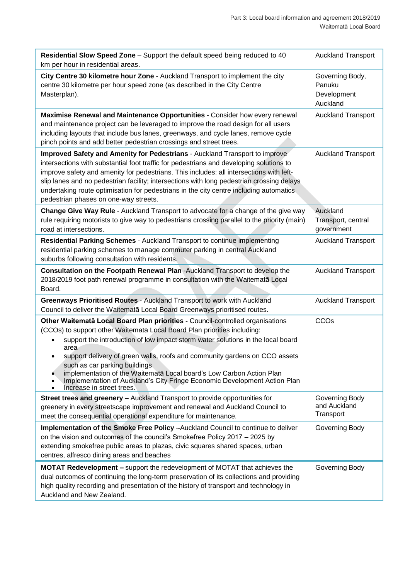| Residential Slow Speed Zone - Support the default speed being reduced to 40<br>km per hour in residential areas.                                                                                                                                                                                                                                                                                                                                                                                                                                             | <b>Auckland Transport</b>                            |
|--------------------------------------------------------------------------------------------------------------------------------------------------------------------------------------------------------------------------------------------------------------------------------------------------------------------------------------------------------------------------------------------------------------------------------------------------------------------------------------------------------------------------------------------------------------|------------------------------------------------------|
| City Centre 30 kilometre hour Zone - Auckland Transport to implement the city<br>centre 30 kilometre per hour speed zone (as described in the City Centre<br>Masterplan).                                                                                                                                                                                                                                                                                                                                                                                    | Governing Body,<br>Panuku<br>Development<br>Auckland |
| Maximise Renewal and Maintenance Opportunities - Consider how every renewal<br>and maintenance project can be leveraged to improve the road design for all users<br>including layouts that include bus lanes, greenways, and cycle lanes, remove cycle<br>pinch points and add better pedestrian crossings and street trees.                                                                                                                                                                                                                                 | <b>Auckland Transport</b>                            |
| <b>Improved Safety and Amenity for Pedestrians - Auckland Transport to improve</b><br>intersections with substantial foot traffic for pedestrians and developing solutions to<br>improve safety and amenity for pedestrians. This includes: all intersections with left-<br>slip lanes and no pedestrian facility; intersections with long pedestrian crossing delays<br>undertaking route optimisation for pedestrians in the city centre including automatics<br>pedestrian phases on one-way streets.                                                     | <b>Auckland Transport</b>                            |
| Change Give Way Rule - Auckland Transport to advocate for a change of the give way<br>rule requiring motorists to give way to pedestrians crossing parallel to the priority (main)<br>road at intersections.                                                                                                                                                                                                                                                                                                                                                 | Auckland<br>Transport, central<br>government         |
| Residential Parking Schemes - Auckland Transport to continue implementing<br>residential parking schemes to manage commuter parking in central Auckland<br>suburbs following consultation with residents.                                                                                                                                                                                                                                                                                                                                                    | <b>Auckland Transport</b>                            |
| Consultation on the Footpath Renewal Plan -Auckland Transport to develop the<br>2018/2019 foot path renewal programme in consultation with the Waitemata Local<br>Board.                                                                                                                                                                                                                                                                                                                                                                                     | <b>Auckland Transport</b>                            |
| Greenways Prioritised Routes - Auckland Transport to work with Auckland<br>Council to deliver the Waitematā Local Board Greenways prioritised routes.                                                                                                                                                                                                                                                                                                                                                                                                        | <b>Auckland Transport</b>                            |
| Other Waitematā Local Board Plan priorities - Council-controlled organisations<br>(CCOs) to support other Waitematā Local Board Plan priorities including:<br>support the introduction of low impact storm water solutions in the local board<br>area<br>support delivery of green walls, roofs and community gardens on CCO assets<br>such as car parking buildings.<br>implementation of the Waitemata Local board's Low Carbon Action Plan<br>Implementation of Auckland's City Fringe Economic Development Action Plan<br>٠<br>Increase in street trees. | CCO <sub>s</sub>                                     |
| Street trees and greenery - Auckland Transport to provide opportunities for<br>greenery in every streetscape improvement and renewal and Auckland Council to<br>meet the consequential operational expenditure for maintenance.                                                                                                                                                                                                                                                                                                                              | Governing Body<br>and Auckland<br>Transport          |
| Implementation of the Smoke Free Policy -- Auckland Council to continue to deliver<br>on the vision and outcomes of the council's Smokefree Policy 2017 - 2025 by<br>extending smokefree public areas to plazas, civic squares shared spaces, urban<br>centres, alfresco dining areas and beaches                                                                                                                                                                                                                                                            | Governing Body                                       |
| <b>MOTAT Redevelopment - support the redevelopment of MOTAT that achieves the</b><br>dual outcomes of continuing the long-term preservation of its collections and providing<br>high quality recording and presentation of the history of transport and technology in<br>Auckland and New Zealand.                                                                                                                                                                                                                                                           | Governing Body                                       |